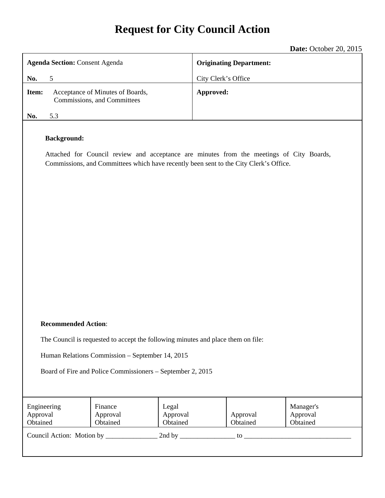# **Request for City Council Action**

|                                                                                                                                                                                                         | Date: October 20, 2015         |
|---------------------------------------------------------------------------------------------------------------------------------------------------------------------------------------------------------|--------------------------------|
| <b>Agenda Section: Consent Agenda</b>                                                                                                                                                                   | <b>Originating Department:</b> |
| 5<br>No.                                                                                                                                                                                                | City Clerk's Office            |
| Acceptance of Minutes of Boards,<br>Item:<br>Commissions, and Committees                                                                                                                                | Approved:                      |
| 5.3<br>No.                                                                                                                                                                                              |                                |
| <b>Background:</b><br>Attached for Council review and acceptance are minutes from the meetings of City Boards,<br>Commissions, and Committees which have recently been sent to the City Clerk's Office. |                                |

#### **Recommended Action**:

The Council is requested to accept the following minutes and place them on file:

Human Relations Commission – September 14, 2015

Board of Fire and Police Commissioners – September 2, 2015

| Engineering<br>Approval<br>Obtained | Finance<br>Approval<br>Obtained | Legal<br>Approval<br>Obtained | Approval<br>Obtained | Manager's<br>Approval<br>Obtained |
|-------------------------------------|---------------------------------|-------------------------------|----------------------|-----------------------------------|
| Council Action: Motion by           |                                 | 2nd by                        | to                   |                                   |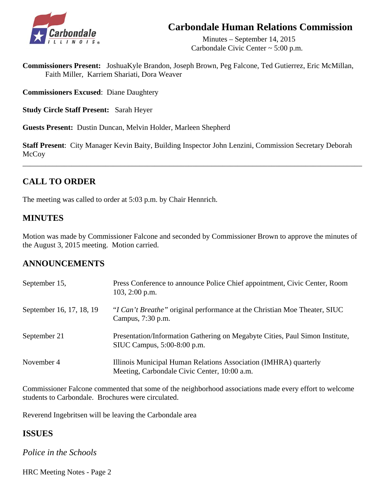## **Carbondale Human Relations Commission**



 Minutes – September 14, 2015 Carbondale Civic Center ~ 5:00 p.m.

**Commissioners Present:** JoshuaKyle Brandon, Joseph Brown, Peg Falcone, Ted Gutierrez, Eric McMillan, Faith Miller, Karriem Shariati, Dora Weaver

**Commissioners Excused**: Diane Daughtery

**Study Circle Staff Present:** Sarah Heyer

**Guests Present:** Dustin Duncan, Melvin Holder, Marleen Shepherd

**Staff Present**: City Manager Kevin Baity, Building Inspector John Lenzini, Commission Secretary Deborah McCoy

\_\_\_\_\_\_\_\_\_\_\_\_\_\_\_\_\_\_\_\_\_\_\_\_\_\_\_\_\_\_\_\_\_\_\_\_\_\_\_\_\_\_\_\_\_\_\_\_\_\_\_\_\_\_\_\_\_\_\_\_\_\_\_\_\_\_\_\_\_\_\_\_\_\_\_\_\_\_\_\_\_\_\_\_\_\_\_\_\_\_

## **CALL TO ORDER**

The meeting was called to order at 5:03 p.m. by Chair Hennrich.

## **MINUTES**

Motion was made by Commissioner Falcone and seconded by Commissioner Brown to approve the minutes of the August 3, 2015 meeting. Motion carried.

## **ANNOUNCEMENTS**

| September 15,            | Press Conference to announce Police Chief appointment, Civic Center, Room<br>$103, 2:00$ p.m.                    |
|--------------------------|------------------------------------------------------------------------------------------------------------------|
| September 16, 17, 18, 19 | "I Can't Breathe" original performance at the Christian Moe Theater, SIUC<br>Campus, 7:30 p.m.                   |
| September 21             | Presentation/Information Gathering on Megabyte Cities, Paul Simon Institute,<br>SIUC Campus, 5:00-8:00 p.m.      |
| November 4               | Illinois Municipal Human Relations Association (IMHRA) quarterly<br>Meeting, Carbondale Civic Center, 10:00 a.m. |

Commissioner Falcone commented that some of the neighborhood associations made every effort to welcome students to Carbondale. Brochures were circulated.

Reverend Ingebritsen will be leaving the Carbondale area

## **ISSUES**

*Police in the Schools* 

HRC Meeting Notes - Page 2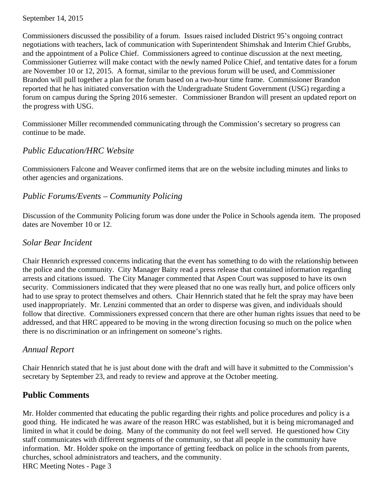#### September 14, 2015

 Commissioners discussed the possibility of a forum. Issues raised included District 95's ongoing contract negotiations with teachers, lack of communication with Superintendent Shimshak and Interim Chief Grubbs, and the appointment of a Police Chief. Commissioners agreed to continue discussion at the next meeting, Commissioner Gutierrez will make contact with the newly named Police Chief, and tentative dates for a forum are November 10 or 12, 2015. A format, similar to the previous forum will be used, and Commissioner Brandon will pull together a plan for the forum based on a two-hour time frame. Commissioner Brandon reported that he has initiated conversation with the Undergraduate Student Government (USG) regarding a forum on campus during the Spring 2016 semester. Commissioner Brandon will present an updated report on the progress with USG.

Commissioner Miller recommended communicating through the Commission's secretary so progress can continue to be made.

#### *Public Education/HRC Website*

 Commissioners Falcone and Weaver confirmed items that are on the website including minutes and links to other agencies and organizations.

## *Public Forums/Events – Community Policing*

Discussion of the Community Policing forum was done under the Police in Schools agenda item. The proposed dates are November 10 or 12.

#### *Solar Bear Incident*

Chair Hennrich expressed concerns indicating that the event has something to do with the relationship between the police and the community. City Manager Baity read a press release that contained information regarding arrests and citations issued. The City Manager commented that Aspen Court was supposed to have its own security. Commissioners indicated that they were pleased that no one was really hurt, and police officers only had to use spray to protect themselves and others. Chair Hennrich stated that he felt the spray may have been used inappropriately. Mr. Lenzini commented that an order to disperse was given, and individuals should follow that directive. Commissioners expressed concern that there are other human rights issues that need to be addressed, and that HRC appeared to be moving in the wrong direction focusing so much on the police when there is no discrimination or an infringement on someone's rights.

## *Annual Report*

 Chair Hennrich stated that he is just about done with the draft and will have it submitted to the Commission's secretary by September 23, and ready to review and approve at the October meeting.

## **Public Comments**

 Mr. Holder commented that educating the public regarding their rights and police procedures and policy is a good thing. He indicated he was aware of the reason HRC was established, but it is being micromanaged and limited in what it could be doing. Many of the community do not feel well served. He questioned how City staff communicates with different segments of the community, so that all people in the community have information. Mr. Holder spoke on the importance of getting feedback on police in the schools from parents, churches, school administrators and teachers, and the community. HRC Meeting Notes - Page 3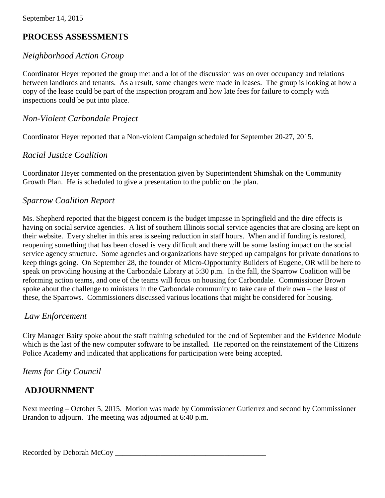## **PROCESS ASSESSMENTS**

#### *Neighborhood Action Group*

 Coordinator Heyer reported the group met and a lot of the discussion was on over occupancy and relations between landlords and tenants. As a result, some changes were made in leases. The group is looking at how a copy of the lease could be part of the inspection program and how late fees for failure to comply with inspections could be put into place.

#### *Non-Violent Carbondale Project*

Coordinator Heyer reported that a Non-violent Campaign scheduled for September 20-27, 2015.

## *Racial Justice Coalition*

 Coordinator Heyer commented on the presentation given by Superintendent Shimshak on the Community Growth Plan. He is scheduled to give a presentation to the public on the plan.

#### *Sparrow Coalition Report*

 Ms. Shepherd reported that the biggest concern is the budget impasse in Springfield and the dire effects is having on social service agencies. A list of southern Illinois social service agencies that are closing are kept on their website. Every shelter in this area is seeing reduction in staff hours. When and if funding is restored, reopening something that has been closed is very difficult and there will be some lasting impact on the social service agency structure. Some agencies and organizations have stepped up campaigns for private donations to keep things going. On September 28, the founder of Micro-Opportunity Builders of Eugene, OR will be here to speak on providing housing at the Carbondale Library at 5:30 p.m. In the fall, the Sparrow Coalition will be reforming action teams, and one of the teams will focus on housing for Carbondale. Commissioner Brown spoke about the challenge to ministers in the Carbondale community to take care of their own – the least of these, the Sparrows. Commissioners discussed various locations that might be considered for housing.

#### *Law Enforcement*

City Manager Baity spoke about the staff training scheduled for the end of September and the Evidence Module which is the last of the new computer software to be installed. He reported on the reinstatement of the Citizens Police Academy and indicated that applications for participation were being accepted.

#### *Items for City Council*

## **ADJOURNMENT**

Next meeting – October 5, 2015. Motion was made by Commissioner Gutierrez and second by Commissioner Brandon to adjourn. The meeting was adjourned at 6:40 p.m.

Recorded by Deborah McCoy \_\_\_\_\_\_\_\_\_\_\_\_\_\_\_\_\_\_\_\_\_\_\_\_\_\_\_\_\_\_\_\_\_\_\_\_\_\_\_\_